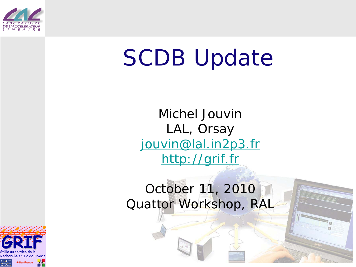

## SCDB Update

Michel Jouvin LAL, Orsay [jouvin@lal.in2p3.fr](mailto:jouvin@lal.in2p3.fr) [http://grif.fr](http://grif.fr/)

## October 11, 2010 Quattor Workshop, RAL

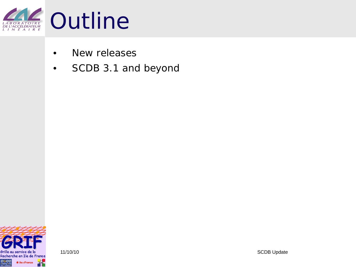

- New releases
- SCDB 3.1 and beyond

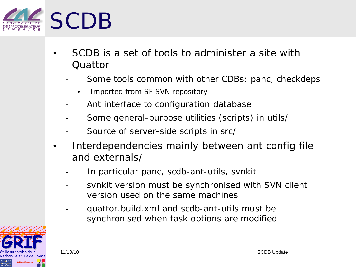

- SCDB is a set of tools to administer a site with Quattor
	- Some tools common with other CDBs: panc, checkdeps
		- Imported from SF SVN repository
	- Ant interface to configuration database
	- Some general-purpose utilities (scripts) in utils/
	- Source of server-side scripts in src/
- Interdependencies mainly between ant config file and externals/
	- In particular panc, scdb-ant-utils, svnkit
	- svnkit version must be synchronised with SVN client version used on the same machines
	- quattor.build.xml and scdb-ant-utils must be synchronised when task options are modified

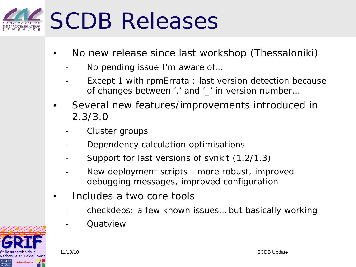

- No new release since last workshop (Thessaloniki)
	- No pending issue I'm aware of...
	- Except 1 with rpmErrata : last version detection because of changes between '.' and '\_' in version number…
- Several new features/improvements introduced in 2.3/3.0
	- Cluster groups
	- Dependency calculation optimisations
	- Support for last versions of svnkit (1.2/1.3)
	- New deployment scripts : more robust, improved debugging messages, improved configuration
- Includes a two core tools
	- checkdeps: a few known issues... but basically working
	- **Ouatview**

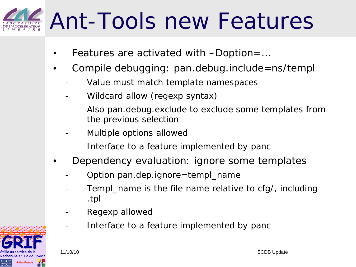## Ant-Tools new Features

- Features are activated with *–Doption=…*
- Compile debugging: pan.debug.include=ns/templ
	- Value must match template namespaces
	- Wildcard allow (regexp syntax)
	- Also pan.debug.exclude to exclude some templates from the previous selection
	- Multiple options allowed
	- Interface to a feature implemented by panc
- Dependency evaluation: ignore some templates
	- Option pan.dep.ignore=templ\_name
	- Templ\_name is the file name relative to cfg/, including .tpl
	- Regexp allowed
	- Interface to a feature implemented by panc

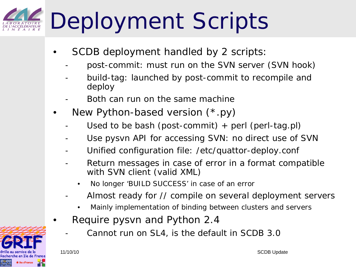## Deployment Scripts

- SCDB deployment handled by 2 scripts:
	- post-commit: must run on the SVN server (SVN hook)
	- build-tag: launched by post-commit to recompile and deploy
	- Both can run on the same machine
- New Python-based version (\*.py)
	- Used to be bash (post-commit)  $+$  perl (perl-tag.pl)
	- Use pysvn API for accessing SVN: no direct use of SVN
	- Unified configuration file: /etc/quattor-deploy.conf
	- Return messages in case of error in a format compatible with SVN client (valid XML)
		- No longer 'BUILD SUCCESS' in case of an error
	- Almost ready for // compile on several deployment servers
		- Mainly implementation of binding between clusters and servers
- Require pysvn and Python 2.4
	- Cannot run on SL4, is the default in SCDB 3.0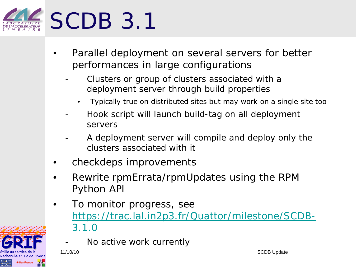

- Parallel deployment on several servers for better performances in large configurations
	- Clusters or group of clusters associated with a deployment server through build properties
		- Typically true on distributed sites but may work on a single site too
	- Hook script will launch build-tag on all deployment servers
	- A deployment server will compile and deploy only the clusters associated with it
- checkdeps improvements
- Rewrite rpmErrata/rpmUpdates using the RPM Python API
- To monitor progress, see [https://trac.lal.in2p3.fr/Quattor/milestone/SCDB-](https://trac.lal.in2p3.fr/Quattor/milestone/SCDB-3.1.0)[3.1.0](https://trac.lal.in2p3.fr/Quattor/milestone/SCDB-3.1.0)



Recherche en Ile de France **\* îledeFrance** 

11/10/10 SCDB Update